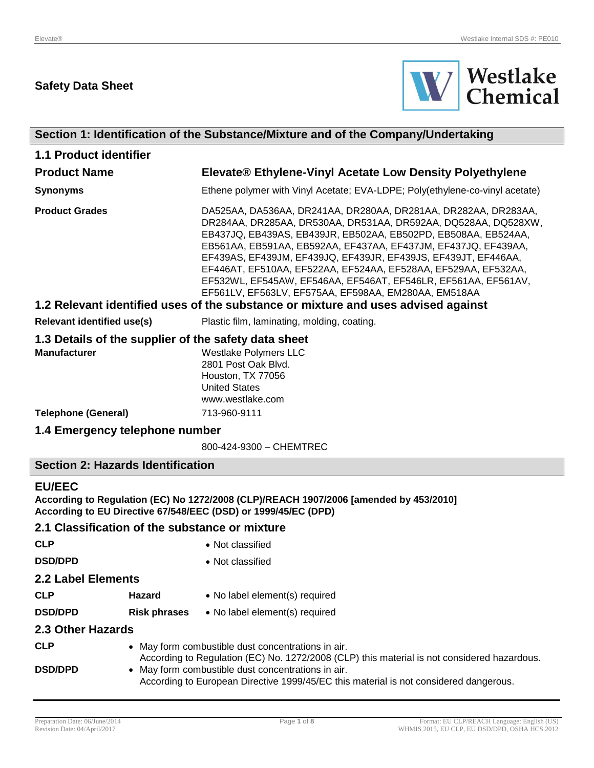# **Safety Data Sheet**



| Section 1: Identification of the Substance/Mixture and of the Company/Undertaking                                                                                        |                                                                                                                                                                                                                                                                                                                                                                                                                                                                                                                                    |  |
|--------------------------------------------------------------------------------------------------------------------------------------------------------------------------|------------------------------------------------------------------------------------------------------------------------------------------------------------------------------------------------------------------------------------------------------------------------------------------------------------------------------------------------------------------------------------------------------------------------------------------------------------------------------------------------------------------------------------|--|
| <b>1.1 Product identifier</b>                                                                                                                                            |                                                                                                                                                                                                                                                                                                                                                                                                                                                                                                                                    |  |
| <b>Product Name</b>                                                                                                                                                      | Elevate® Ethylene-Vinyl Acetate Low Density Polyethylene                                                                                                                                                                                                                                                                                                                                                                                                                                                                           |  |
| <b>Synonyms</b>                                                                                                                                                          | Ethene polymer with Vinyl Acetate; EVA-LDPE; Poly(ethylene-co-vinyl acetate)                                                                                                                                                                                                                                                                                                                                                                                                                                                       |  |
| <b>Product Grades</b>                                                                                                                                                    | DA525AA, DA536AA, DR241AA, DR280AA, DR281AA, DR282AA, DR283AA,<br>DR284AA, DR285AA, DR530AA, DR531AA, DR592AA, DQ528AA, DQ528XW,<br>EB437JQ, EB439AS, EB439JR, EB502AA, EB502PD, EB508AA, EB524AA,<br>EB561AA, EB591AA, EB592AA, EF437AA, EF437JM, EF437JQ, EF439AA,<br>EF439AS, EF439JM, EF439JQ, EF439JR, EF439JS, EF439JT, EF446AA,<br>EF446AT, EF510AA, EF522AA, EF524AA, EF528AA, EF529AA, EF532AA,<br>EF532WL, EF545AW, EF546AA, EF546AT, EF546LR, EF561AA, EF561AV,<br>EF561LV, EF563LV, EF575AA, EF598AA, EM280AA, EM518AA |  |
|                                                                                                                                                                          | 1.2 Relevant identified uses of the substance or mixture and uses advised against                                                                                                                                                                                                                                                                                                                                                                                                                                                  |  |
| <b>Relevant identified use(s)</b>                                                                                                                                        | Plastic film, laminating, molding, coating.                                                                                                                                                                                                                                                                                                                                                                                                                                                                                        |  |
| 1.3 Details of the supplier of the safety data sheet<br><b>Manufacturer</b>                                                                                              | <b>Westlake Polymers LLC</b><br>2801 Post Oak Blvd.<br>Houston, TX 77056<br><b>United States</b><br>www.westlake.com                                                                                                                                                                                                                                                                                                                                                                                                               |  |
| <b>Telephone (General)</b>                                                                                                                                               | 713-960-9111                                                                                                                                                                                                                                                                                                                                                                                                                                                                                                                       |  |
| 1.4 Emergency telephone number                                                                                                                                           |                                                                                                                                                                                                                                                                                                                                                                                                                                                                                                                                    |  |
|                                                                                                                                                                          | 800-424-9300 - CHEMTREC                                                                                                                                                                                                                                                                                                                                                                                                                                                                                                            |  |
| <b>Section 2: Hazards Identification</b>                                                                                                                                 |                                                                                                                                                                                                                                                                                                                                                                                                                                                                                                                                    |  |
| <b>EU/EEC</b><br>According to Regulation (EC) No 1272/2008 (CLP)/REACH 1907/2006 [amended by 453/2010]<br>According to EU Directive 67/548/EEC (DSD) or 1999/45/EC (DPD) |                                                                                                                                                                                                                                                                                                                                                                                                                                                                                                                                    |  |

# **2.1 Classification of the substance or mixture**

| <b>CLP</b>         |                     | • Not classified                                                                                                                                  |
|--------------------|---------------------|---------------------------------------------------------------------------------------------------------------------------------------------------|
| <b>DSD/DPD</b>     |                     | • Not classified                                                                                                                                  |
| 2.2 Label Elements |                     |                                                                                                                                                   |
| <b>CLP</b>         | <b>Hazard</b>       | • No label element(s) required                                                                                                                    |
| <b>DSD/DPD</b>     | <b>Risk phrases</b> | • No label element(s) required                                                                                                                    |
| 2.3 Other Hazards  |                     |                                                                                                                                                   |
| <b>CLP</b>         |                     | • May form combustible dust concentrations in air.<br>According to Regulation (EC) No. 1272/2008 (CLP) this material is not considered hazardous. |
| <b>DSD/DPD</b>     |                     | • May form combustible dust concentrations in air.<br>According to European Directive 1999/45/EC this material is not considered dangerous.       |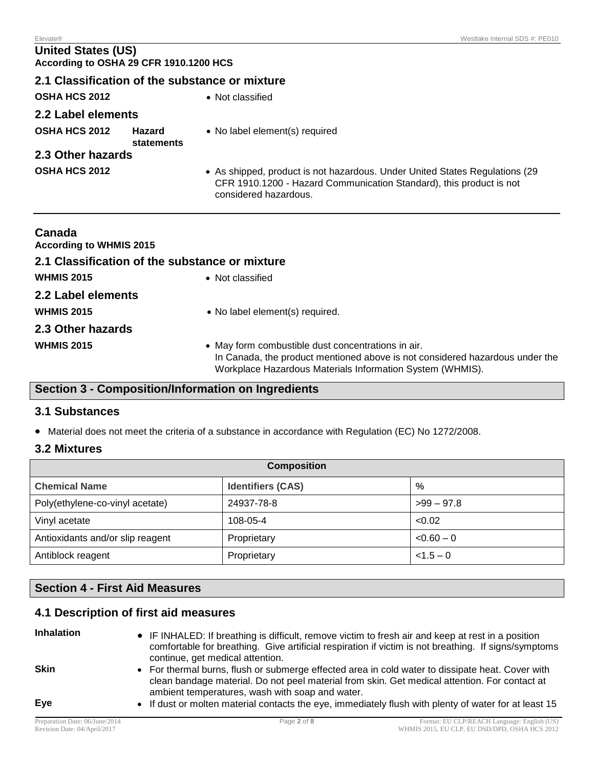# **United States (US) According to OSHA 29 CFR 1910.1200 HCS**

# **2.1 Classification of the substance or mixture OSHA HCS 2012** • Not classified **2.2 Label elements OSHA HCS 2012 Hazard statements** No label element(s) required **2.3 Other hazards OSHA HCS 2012** • As shipped, product is not hazardous. Under United States Regulations (29 CFR 1910.1200 - Hazard Communication Standard), this product is not considered hazardous.

| Canada<br><b>According to WHMIS 2015</b>       |                                                                                                                                                                                                 |
|------------------------------------------------|-------------------------------------------------------------------------------------------------------------------------------------------------------------------------------------------------|
| 2.1 Classification of the substance or mixture |                                                                                                                                                                                                 |
| <b>WHMIS 2015</b>                              | • Not classified                                                                                                                                                                                |
| 2.2 Label elements                             |                                                                                                                                                                                                 |
| <b>WHMIS 2015</b>                              | • No label element(s) required.                                                                                                                                                                 |
| 2.3 Other hazards                              |                                                                                                                                                                                                 |
| <b>WHMIS 2015</b>                              | • May form combustible dust concentrations in air.<br>In Canada, the product mentioned above is not considered hazardous under the<br>Workplace Hazardous Materials Information System (WHMIS). |

# **Section 3 - Composition/Information on Ingredients**

# **3.1 Substances**

Material does not meet the criteria of a substance in accordance with Regulation (EC) No 1272/2008.

# **3.2 Mixtures**

| <b>Composition</b>               |                          |               |  |  |
|----------------------------------|--------------------------|---------------|--|--|
| <b>Chemical Name</b>             | <b>Identifiers (CAS)</b> | $\frac{0}{0}$ |  |  |
| Poly(ethylene-co-vinyl acetate)  | 24937-78-8               | $>99 - 97.8$  |  |  |
| Vinyl acetate                    | 108-05-4                 | < 0.02        |  |  |
| Antioxidants and/or slip reagent | Proprietary              | $< 0.60 - 0$  |  |  |
| Antiblock reagent                | Proprietary              | $< 1.5 - 0$   |  |  |

# **Section 4 - First Aid Measures**

# **4.1 Description of first aid measures**

# **Inhalation** • IF INHALED: If breathing is difficult, remove victim to fresh air and keep at rest in a position comfortable for breathing. Give artificial respiration if victim is not breathing. If signs/symptoms continue, get medical attention. **Skin •** For thermal burns, flush or submerge effected area in cold water to dissipate heat. Cover with clean bandage material. Do not peel material from skin. Get medical attention. For contact at ambient temperatures, wash with soap and water. Eye **If dust or molten material contacts the eye, immediately flush with plenty of water for at least 15**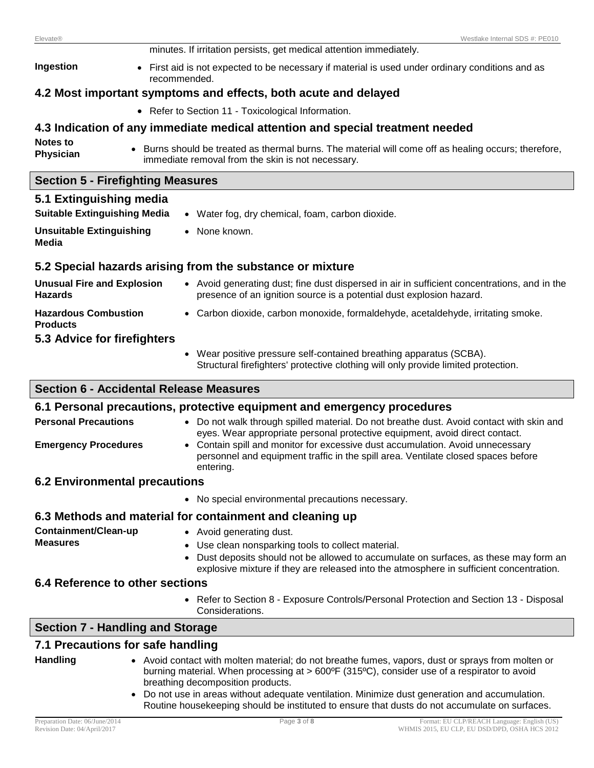| <b>Elevate®</b>                                     | Westlake Internal SDS #: PE010                                                                                                                                                                                                                                  |  |  |  |  |  |
|-----------------------------------------------------|-----------------------------------------------------------------------------------------------------------------------------------------------------------------------------------------------------------------------------------------------------------------|--|--|--|--|--|
|                                                     | minutes. If irritation persists, get medical attention immediately.                                                                                                                                                                                             |  |  |  |  |  |
| Ingestion                                           | • First aid is not expected to be necessary if material is used under ordinary conditions and as<br>recommended.                                                                                                                                                |  |  |  |  |  |
|                                                     | 4.2 Most important symptoms and effects, both acute and delayed                                                                                                                                                                                                 |  |  |  |  |  |
|                                                     | • Refer to Section 11 - Toxicological Information.                                                                                                                                                                                                              |  |  |  |  |  |
|                                                     | 4.3 Indication of any immediate medical attention and special treatment needed                                                                                                                                                                                  |  |  |  |  |  |
| Notes to<br>Physician                               | Burns should be treated as thermal burns. The material will come off as healing occurs; therefore,<br>immediate removal from the skin is not necessary.                                                                                                         |  |  |  |  |  |
| <b>Section 5 - Firefighting Measures</b>            |                                                                                                                                                                                                                                                                 |  |  |  |  |  |
| 5.1 Extinguishing media                             |                                                                                                                                                                                                                                                                 |  |  |  |  |  |
| <b>Suitable Extinguishing Media</b>                 | • Water fog, dry chemical, foam, carbon dioxide.                                                                                                                                                                                                                |  |  |  |  |  |
| <b>Unsuitable Extinguishing</b><br><b>Media</b>     | • None known.                                                                                                                                                                                                                                                   |  |  |  |  |  |
|                                                     | 5.2 Special hazards arising from the substance or mixture                                                                                                                                                                                                       |  |  |  |  |  |
| <b>Unusual Fire and Explosion</b><br><b>Hazards</b> | • Avoid generating dust; fine dust dispersed in air in sufficient concentrations, and in the<br>presence of an ignition source is a potential dust explosion hazard.                                                                                            |  |  |  |  |  |
| <b>Hazardous Combustion</b><br><b>Products</b>      | • Carbon dioxide, carbon monoxide, formaldehyde, acetaldehyde, irritating smoke.                                                                                                                                                                                |  |  |  |  |  |
| 5.3 Advice for firefighters                         |                                                                                                                                                                                                                                                                 |  |  |  |  |  |
|                                                     | • Wear positive pressure self-contained breathing apparatus (SCBA).<br>Structural firefighters' protective clothing will only provide limited protection.                                                                                                       |  |  |  |  |  |
|                                                     | <b>Section 6 - Accidental Release Measures</b>                                                                                                                                                                                                                  |  |  |  |  |  |
|                                                     | 6.1 Personal precautions, protective equipment and emergency procedures                                                                                                                                                                                         |  |  |  |  |  |
| <b>Personal Precautions</b>                         | • Do not walk through spilled material. Do not breathe dust. Avoid contact with skin and                                                                                                                                                                        |  |  |  |  |  |
| <b>Emergency Procedures</b>                         | eyes. Wear appropriate personal protective equipment, avoid direct contact.<br>• Contain spill and monitor for excessive dust accumulation. Avoid unnecessary<br>personnel and equipment traffic in the spill area. Ventilate closed spaces before<br>entering. |  |  |  |  |  |
| <b>6.2 Environmental precautions</b>                |                                                                                                                                                                                                                                                                 |  |  |  |  |  |
|                                                     | • No special environmental precautions necessary.                                                                                                                                                                                                               |  |  |  |  |  |
|                                                     | 6.3 Methods and material for containment and cleaning up                                                                                                                                                                                                        |  |  |  |  |  |
| Containment/Clean-up                                | • Avoid generating dust.                                                                                                                                                                                                                                        |  |  |  |  |  |
| <b>Measures</b>                                     | Use clean nonsparking tools to collect material.<br>$\bullet$<br>Dust deposits should not be allowed to accumulate on surfaces, as these may form an<br>explosive mixture if they are released into the atmosphere in sufficient concentration.                 |  |  |  |  |  |
| 6.4 Reference to other sections                     |                                                                                                                                                                                                                                                                 |  |  |  |  |  |

 Refer to Section 8 - Exposure Controls/Personal Protection and Section 13 - Disposal Considerations.

# **Section 7 - Handling and Storage**

# **7.1 Precautions for safe handling**

- Handling **a Avoid contact with molten material**; do not breathe fumes, vapors, dust or sprays from molten or burning material. When processing at > 600ºF (315ºC), consider use of a respirator to avoid breathing decomposition products.
	- Do not use in areas without adequate ventilation. Minimize dust generation and accumulation. Routine housekeeping should be instituted to ensure that dusts do not accumulate on surfaces.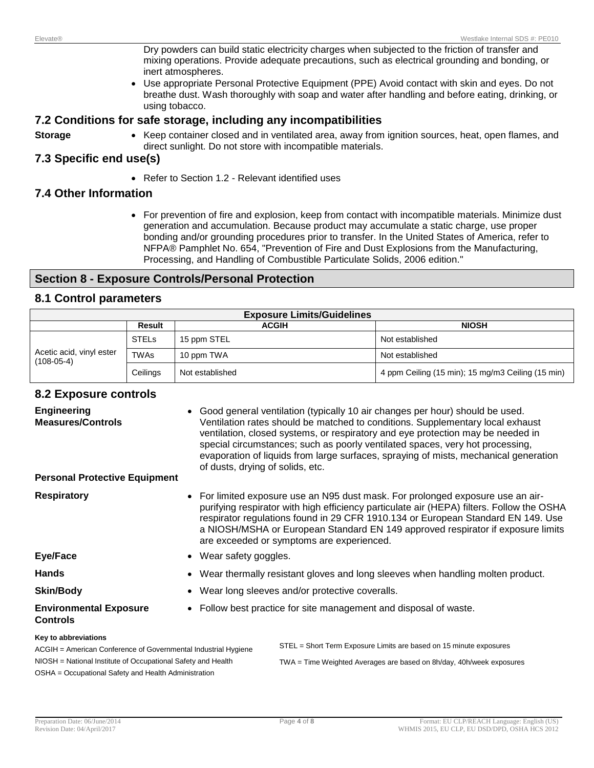Dry powders can build static electricity charges when subjected to the friction of transfer and mixing operations. Provide adequate precautions, such as electrical grounding and bonding, or inert atmospheres.

 Use appropriate Personal Protective Equipment (PPE) Avoid contact with skin and eyes. Do not breathe dust. Wash thoroughly with soap and water after handling and before eating, drinking, or using tobacco.

### **7.2 Conditions for safe storage, including any incompatibilities**

- 
- **Storage** Keep container closed and in ventilated area, away from ignition sources, heat, open flames, and direct sunlight. Do not store with incompatible materials.

# **7.3 Specific end use(s)**

• Refer to Section 1.2 - Relevant identified uses

# **7.4 Other Information**

 For prevention of fire and explosion, keep from contact with incompatible materials. Minimize dust generation and accumulation. Because product may accumulate a static charge, use proper bonding and/or grounding procedures prior to transfer. In the United States of America, refer to NFPA® Pamphlet No. 654, "Prevention of Fire and Dust Explosions from the Manufacturing, Processing, and Handling of Combustible Particulate Solids, 2006 edition."

# **Section 8 - Exposure Controls/Personal Protection**

# **8.1 Control parameters**

| <b>Exposure Limits/Guidelines</b>                                                   |             |                 |                                                   |  |
|-------------------------------------------------------------------------------------|-------------|-----------------|---------------------------------------------------|--|
|                                                                                     | Result      | <b>ACGIH</b>    | <b>NIOSH</b>                                      |  |
| <b>STELS</b><br>Acetic acid, vinyl ester<br><b>TWAs</b><br>$(108-05-4)$<br>Ceilings | 15 ppm STEL | Not established |                                                   |  |
|                                                                                     |             | 10 ppm TWA      | Not established                                   |  |
|                                                                                     |             | Not established | 4 ppm Ceiling (15 min); 15 mg/m3 Ceiling (15 min) |  |

# **8.2 Exposure controls**

| <b>Engineering</b><br><b>Measures/Controls</b>                                                                                                         | Good general ventilation (typically 10 air changes per hour) should be used.<br>Ventilation rates should be matched to conditions. Supplementary local exhaust<br>ventilation, closed systems, or respiratory and eye protection may be needed in<br>special circumstances; such as poorly ventilated spaces, very hot processing,<br>evaporation of liquids from large surfaces, spraying of mists, mechanical generation<br>of dusts, drying of solids, etc. |                                                                                                                                                                                                                                                                                                                                                                                                  |  |
|--------------------------------------------------------------------------------------------------------------------------------------------------------|----------------------------------------------------------------------------------------------------------------------------------------------------------------------------------------------------------------------------------------------------------------------------------------------------------------------------------------------------------------------------------------------------------------------------------------------------------------|--------------------------------------------------------------------------------------------------------------------------------------------------------------------------------------------------------------------------------------------------------------------------------------------------------------------------------------------------------------------------------------------------|--|
| <b>Personal Protective Equipment</b>                                                                                                                   |                                                                                                                                                                                                                                                                                                                                                                                                                                                                |                                                                                                                                                                                                                                                                                                                                                                                                  |  |
| <b>Respiratory</b>                                                                                                                                     |                                                                                                                                                                                                                                                                                                                                                                                                                                                                | • For limited exposure use an N95 dust mask. For prolonged exposure use an air-<br>purifying respirator with high efficiency particulate air (HEPA) filters. Follow the OSHA<br>respirator regulations found in 29 CFR 1910.134 or European Standard EN 149. Use<br>a NIOSH/MSHA or European Standard EN 149 approved respirator if exposure limits<br>are exceeded or symptoms are experienced. |  |
| <b>Eye/Face</b>                                                                                                                                        |                                                                                                                                                                                                                                                                                                                                                                                                                                                                | • Wear safety goggles.                                                                                                                                                                                                                                                                                                                                                                           |  |
| <b>Hands</b>                                                                                                                                           |                                                                                                                                                                                                                                                                                                                                                                                                                                                                | • Wear thermally resistant gloves and long sleeves when handling molten product.                                                                                                                                                                                                                                                                                                                 |  |
| <b>Skin/Body</b>                                                                                                                                       |                                                                                                                                                                                                                                                                                                                                                                                                                                                                | • Wear long sleeves and/or protective coveralls.                                                                                                                                                                                                                                                                                                                                                 |  |
| <b>Environmental Exposure</b><br><b>Controls</b>                                                                                                       |                                                                                                                                                                                                                                                                                                                                                                                                                                                                | • Follow best practice for site management and disposal of waste.                                                                                                                                                                                                                                                                                                                                |  |
| Key to abbreviations<br>ACGIH = American Conference of Governmental Industrial Hygiene<br>NIOSH = National Institute of Occupational Safety and Health |                                                                                                                                                                                                                                                                                                                                                                                                                                                                | STEL = Short Term Exposure Limits are based on 15 minute exposures<br>TWA = Time Weighted Averages are based on 8h/day, 40h/week exposures                                                                                                                                                                                                                                                       |  |
|                                                                                                                                                        |                                                                                                                                                                                                                                                                                                                                                                                                                                                                |                                                                                                                                                                                                                                                                                                                                                                                                  |  |

OSHA = Occupational Safety and Health Administration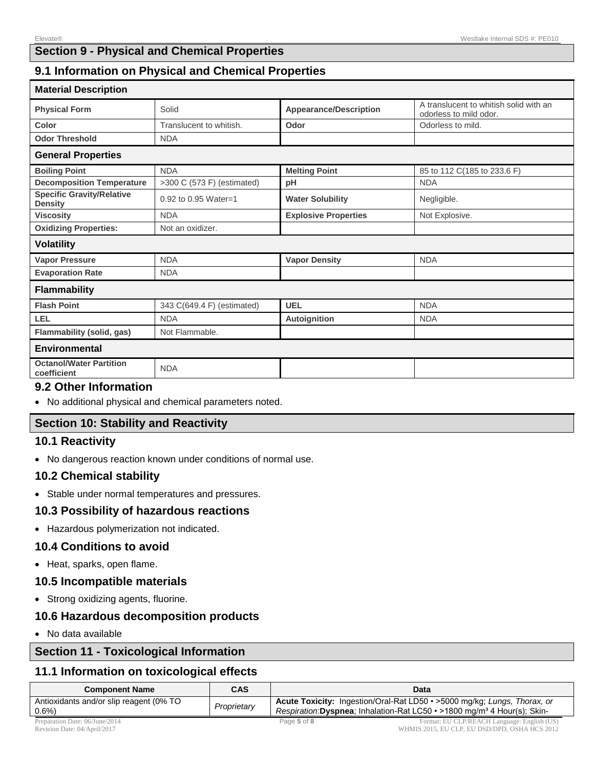# **Section 9 - Physical and Chemical Properties**

# **9.1 Information on Physical and Chemical Properties**

| <b>Material Description</b>                        |                            |                               |                                                                  |
|----------------------------------------------------|----------------------------|-------------------------------|------------------------------------------------------------------|
| <b>Physical Form</b>                               | Solid                      | <b>Appearance/Description</b> | A translucent to whitish solid with an<br>odorless to mild odor. |
| Color                                              | Translucent to whitish.    | Odor                          | Odorless to mild.                                                |
| <b>Odor Threshold</b>                              | <b>NDA</b>                 |                               |                                                                  |
| <b>General Properties</b>                          |                            |                               |                                                                  |
| <b>Boiling Point</b>                               | <b>NDA</b>                 | <b>Melting Point</b>          | 85 to 112 C(185 to 233.6 F)                                      |
| <b>Decomposition Temperature</b>                   | >300 C (573 F) (estimated) | pH                            | <b>NDA</b>                                                       |
| <b>Specific Gravity/Relative</b><br><b>Density</b> | 0.92 to 0.95 Water=1       | <b>Water Solubility</b>       | Negligible.                                                      |
| <b>Viscosity</b>                                   | <b>NDA</b>                 | <b>Explosive Properties</b>   | Not Explosive.                                                   |
| <b>Oxidizing Properties:</b>                       | Not an oxidizer.           |                               |                                                                  |
| <b>Volatility</b>                                  |                            |                               |                                                                  |
| <b>Vapor Pressure</b>                              | <b>NDA</b>                 | <b>Vapor Density</b>          | <b>NDA</b>                                                       |
| <b>Evaporation Rate</b>                            | <b>NDA</b>                 |                               |                                                                  |
| <b>Flammability</b>                                |                            |                               |                                                                  |
| <b>Flash Point</b>                                 | 343 C(649.4 F) (estimated) | UEL                           | <b>NDA</b>                                                       |
| LEL                                                | <b>NDA</b>                 | Autoignition                  | <b>NDA</b>                                                       |
| <b>Flammability (solid, gas)</b>                   | Not Flammable.             |                               |                                                                  |
| <b>Environmental</b>                               |                            |                               |                                                                  |
| <b>Octanol/Water Partition</b><br>coefficient      | <b>NDA</b>                 |                               |                                                                  |

#### **9.2 Other Information**

No additional physical and chemical parameters noted.

# **Section 10: Stability and Reactivity**

#### **10.1 Reactivity**

No dangerous reaction known under conditions of normal use.

#### **10.2 Chemical stability**

Stable under normal temperatures and pressures.

#### **10.3 Possibility of hazardous reactions**

Hazardous polymerization not indicated.

#### **10.4 Conditions to avoid**

Heat, sparks, open flame.

#### **10.5 Incompatible materials**

Strong oxidizing agents, fluorine.

# **10.6 Hazardous decomposition products**

No data available

# **Section 11 - Toxicological Information**

### **11.1 Information on toxicological effects**

| <b>Component Name</b>                                                         | CAS         | Data                                                                                                                                                                    |
|-------------------------------------------------------------------------------|-------------|-------------------------------------------------------------------------------------------------------------------------------------------------------------------------|
| Antioxidants and/or slip reagent (0% TO<br>0.6%                               | Proprietary | <b>Acute Toxicity:</b> Ingestion/Oral-Rat LD50 • >5000 mg/kg; Lungs, Thorax, or<br>Respiration: Dyspnea; Inhalation-Rat LC50 • >1800 mg/m <sup>3</sup> 4 Hour(s); Skin- |
| $D_{11}$ $\ldots$ $D_{r+1}$ $D_{r+2}$ $D_{r+1}$ $D_{r+2}$ $D_{r+1}$ $D_{r+1}$ |             | $D - \alpha - E - 6$                                                                                                                                                    |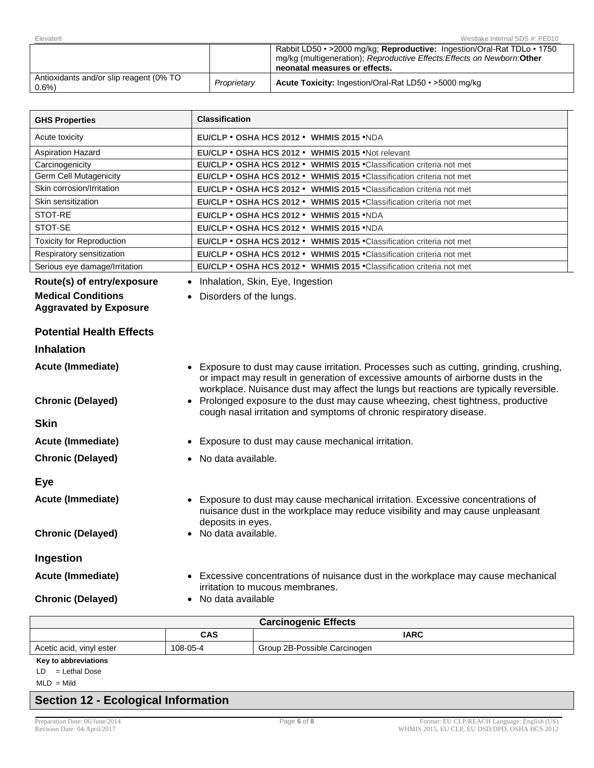| Elevate®                                        |             | Westlake Internal SDS #: PE010                                                                                                                                                        |
|-------------------------------------------------|-------------|---------------------------------------------------------------------------------------------------------------------------------------------------------------------------------------|
|                                                 |             | Rabbit LD50 • > 2000 mg/kg; Reproductive: Ingestion/Oral-Rat TDLo • 1750<br>mg/kg (multigeneration); Reproductive Effects: Effects on Newborn: Other<br>neonatal measures or effects. |
| Antioxidants and/or slip reagent (0% TO<br>0.6% | Proprietary | Acute Toxicity: Ingestion/Oral-Rat LD50 • >5000 mg/kg                                                                                                                                 |

| <b>GHS Properties</b>            | <b>Classification</b>                                                                                                                                                                                                                            |  |  |
|----------------------------------|--------------------------------------------------------------------------------------------------------------------------------------------------------------------------------------------------------------------------------------------------|--|--|
| Acute toxicity                   | EU/CLP • OSHA HCS 2012 • WHMIS 2015 • NDA                                                                                                                                                                                                        |  |  |
| <b>Aspiration Hazard</b>         | EU/CLP • OSHA HCS 2012 • WHMIS 2015 • Not relevant                                                                                                                                                                                               |  |  |
| Carcinogenicity                  | EU/CLP · OSHA HCS 2012 · WHMIS 2015 · Classification criteria not met                                                                                                                                                                            |  |  |
| <b>Germ Cell Mutagenicity</b>    | EU/CLP · OSHA HCS 2012 · WHMIS 2015 · Classification criteria not met                                                                                                                                                                            |  |  |
| Skin corrosion/Irritation        | EU/CLP • OSHA HCS 2012 • WHMIS 2015 • Classification criteria not met                                                                                                                                                                            |  |  |
| Skin sensitization               | EU/CLP . OSHA HCS 2012 . WHMIS 2015 . Classification criteria not met                                                                                                                                                                            |  |  |
| STOT-RE                          | EU/CLP • OSHA HCS 2012 • WHMIS 2015 • NDA                                                                                                                                                                                                        |  |  |
| STOT-SE                          | EU/CLP · OSHA HCS 2012 · WHMIS 2015 · NDA                                                                                                                                                                                                        |  |  |
| <b>Toxicity for Reproduction</b> | EU/CLP . OSHA HCS 2012 . WHMIS 2015 . Classification criteria not met                                                                                                                                                                            |  |  |
| Respiratory sensitization        | EU/CLP • OSHA HCS 2012 • WHMIS 2015 • Classification criteria not met                                                                                                                                                                            |  |  |
| Serious eye damage/Irritation    | EU/CLP · OSHA HCS 2012 · WHMIS 2015 · Classification criteria not met                                                                                                                                                                            |  |  |
| Route(s) of entry/exposure       | • Inhalation, Skin, Eye, Ingestion                                                                                                                                                                                                               |  |  |
| <b>Medical Conditions</b>        | Disorders of the lungs.                                                                                                                                                                                                                          |  |  |
| <b>Aggravated by Exposure</b>    |                                                                                                                                                                                                                                                  |  |  |
|                                  |                                                                                                                                                                                                                                                  |  |  |
| <b>Potential Health Effects</b>  |                                                                                                                                                                                                                                                  |  |  |
| <b>Inhalation</b>                |                                                                                                                                                                                                                                                  |  |  |
| Acute (Immediate)                | Exposure to dust may cause irritation. Processes such as cutting, grinding, crushing,<br>or impact may result in generation of excessive amounts of airborne dusts in the                                                                        |  |  |
| <b>Chronic (Delayed)</b>         | workplace. Nuisance dust may affect the lungs but reactions are typically reversible.<br>• Prolonged exposure to the dust may cause wheezing, chest tightness, productive<br>cough nasal irritation and symptoms of chronic respiratory disease. |  |  |
| <b>Skin</b>                      |                                                                                                                                                                                                                                                  |  |  |
| <b>Acute (Immediate)</b>         | Exposure to dust may cause mechanical irritation.                                                                                                                                                                                                |  |  |
| <b>Chronic (Delayed)</b>         | • No data available.                                                                                                                                                                                                                             |  |  |
|                                  |                                                                                                                                                                                                                                                  |  |  |
| <b>Eye</b>                       |                                                                                                                                                                                                                                                  |  |  |
| Acute (Immediate)                | Exposure to dust may cause mechanical irritation. Excessive concentrations of<br>nuisance dust in the workplace may reduce visibility and may cause unpleasant<br>deposits in eyes.                                                              |  |  |
| <b>Chronic (Delayed)</b>         | No data available.                                                                                                                                                                                                                               |  |  |
|                                  |                                                                                                                                                                                                                                                  |  |  |
| Ingestion                        |                                                                                                                                                                                                                                                  |  |  |
| Acute (Immediate)                | • Excessive concentrations of nuisance dust in the workplace may cause mechanical<br>irritation to mucous membranes.                                                                                                                             |  |  |
| <b>Chronic (Delayed)</b>         | • No data available                                                                                                                                                                                                                              |  |  |

| <b>Carcinogenic Effects</b>                                          |     |             |  |
|----------------------------------------------------------------------|-----|-------------|--|
|                                                                      | CAS | <b>IARC</b> |  |
| 108-05-4<br>Group 2B-Possible Carcinogen<br>Acetic acid, vinyl ester |     |             |  |
| Key to abbreviations                                                 |     |             |  |

LD = Lethal Dose

# $MLD = Mild$

# **Section 12 - Ecological Information**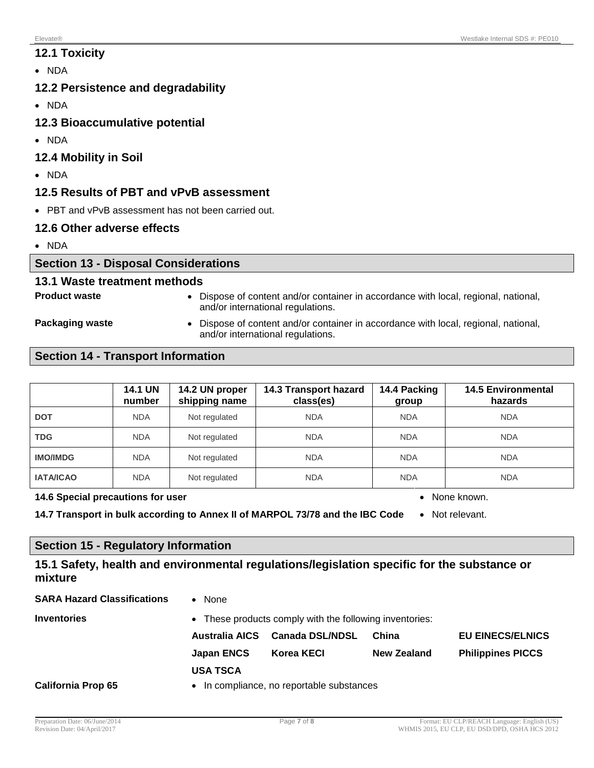# **12.1 Toxicity**

• NDA

# **12.2 Persistence and degradability**

- NDA
- **12.3 Bioaccumulative potential**
- NDA
- **12.4 Mobility in Soil**
- NDA

# **12.5 Results of PBT and vPvB assessment**

• PBT and vPvB assessment has not been carried out.

# **12.6 Other adverse effects**

• NDA

# **Section 13 - Disposal Considerations**

# **13.1 Waste treatment methods**

- 
- **Product waste 1988 1989 •** Dispose of content and/or container in accordance with local, regional, national, and/or international regulations.

**Packaging waste •** Dispose of content and/or container in accordance with local, regional, national, and/or international regulations.

# **Section 14 - Transport Information**

|                  | <b>14.1 UN</b><br>number | 14.2 UN proper<br>shipping name | 14.3 Transport hazard<br>class(es) | 14.4 Packing<br>group | <b>14.5 Environmental</b><br>hazards |
|------------------|--------------------------|---------------------------------|------------------------------------|-----------------------|--------------------------------------|
| <b>DOT</b>       | <b>NDA</b>               | Not regulated                   | <b>NDA</b>                         | <b>NDA</b>            | <b>NDA</b>                           |
| <b>TDG</b>       | <b>NDA</b>               | Not regulated                   | <b>NDA</b>                         | <b>NDA</b>            | <b>NDA</b>                           |
| <b>IMO/IMDG</b>  | <b>NDA</b>               | Not regulated                   | <b>NDA</b>                         | <b>NDA</b>            | <b>NDA</b>                           |
| <b>IATA/ICAO</b> | <b>NDA</b>               | Not regulated                   | <b>NDA</b>                         | <b>NDA</b>            | <b>NDA</b>                           |

#### **14.6 Special precautions for user** None Known. **Also are also assigned to the Special Special Provision of the Special August 2016.**

**14.7 Transport in bulk according to Annex II of MARPOL 73/78 and the IBC Code** . Not relevant.

# **Section 15 - Regulatory Information**

# **15.1 Safety, health and environmental regulations/legislation specific for the substance or mixture**

| <b>SARA Hazard Classifications</b> | <b>None</b><br>$\bullet$                                |                 |                    |                          |  |
|------------------------------------|---------------------------------------------------------|-----------------|--------------------|--------------------------|--|
| <b>Inventories</b>                 | • These products comply with the following inventories: |                 |                    |                          |  |
|                                    | <b>Australia AICS</b>                                   | Canada DSL/NDSL | China              | <b>EU EINECS/ELNICS</b>  |  |
|                                    | <b>Japan ENCS</b>                                       | Korea KECI      | <b>New Zealand</b> | <b>Philippines PICCS</b> |  |
|                                    | <b>USA TSCA</b>                                         |                 |                    |                          |  |
| <b>California Prop 65</b>          | In compliance, no reportable substances<br>$\bullet$    |                 |                    |                          |  |